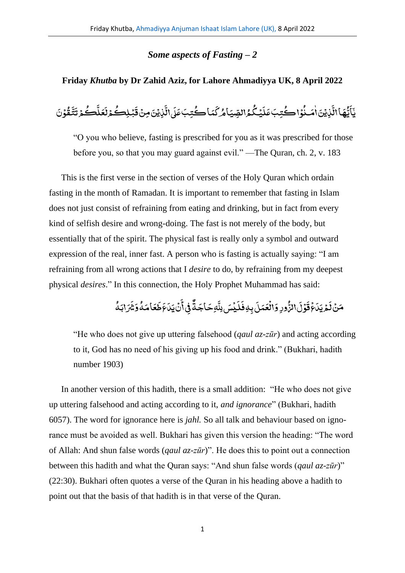## *Some aspects of Fasting – 2*

## **Friday** *Khutba* **by Dr Zahid Aziz, for Lahore Ahmadiyya UK, 8 April 2022**

ة<br>تم َ و<br>ڪمۇ ت ک ِ<br>نا ِ<br>عَلَّ َ ءِ<br>ڪئرلا بُـلِڪُ .<br>, َ ِ<br>نَٰزِیۡنَ مِنۡ قَ ֧<u>֫</u> ِ<br>به ر<br>ا راڈ ،<br>كُتِبَ¢َكَ ل یما<u>ے</u> ે<br>્ ء<br>الصّياءُ گ ُّ ِ<br>پیگ <u>َ</u> **ृ** ِ<br>كُتِبَūَلَ .<br>ذاڪُ **ٔ و** .<br>نایتین است ٰ ់<br>៖ ِ<br>په ر<br>پماالہ و<br>یا َ .<br>يَأَيُّهَا الَّذِيَّ اٰمَـنُوۡ اِ ڪُتبَ عَلَيۡكُمُ الصِّيَامُرُ كَمَا ڪُتبَ عَلَى الَّذيۡنَ مِنۡ قَبۡلِڪُمۡ لَعَلَّڪُمۡ تَتَّقُوۡنَ .<br>, <u>ہ</u> ق

"O you who believe, fasting is prescribed for you as it was prescribed for those before you, so that you may guard against evil." —The Quran, ch. 2, v. 183

This is the first verse in the section of verses of the Holy Quran which ordain fasting in the month of Ramadan. It is important to remember that fasting in Islam does not just consist of refraining from eating and drinking, but in fact from every kind of selfish desire and wrong-doing. The fast is not merely of the body, but essentially that of the spirit. The physical fast is really only a symbol and outward expression of the real, inner fast. A person who is fasting is actually saying: "I am refraining from all wrong actions that I *desire* to do, by refraining from my deepest physical *desires*." In this connection, the Holy Prophet Muhammad has said:

> **و** ر<br>رابَـهُ َ ش َ و **و** ه َ ام َ ع ِ<br>ـ .<br>عَطَ َ ِ<br>نُ بَلَ ْ َ نى أُ<br>ب ف وءِ ة َ اج َ ِهح ِّ<br>چُسَ بِلَّا ْ َ ل َ بِهِفَ ે<br>ક ورِ وَالۡقَمَلَ ْ ُّ الز ે<br>ક وۡلَ ْ َ ق ع ْ َ ِ<br>لَمۡ یَلَ .<br>مَنْ زَ

"He who does not give up uttering falsehood (*qaul az-zūr*) and acting according to it, God has no need of his giving up his food and drink." (Bukhari, hadith number 1903)

In another version of this hadith, there is a small addition: "He who does not give up uttering falsehood and acting according to it, *and ignorance*" (Bukhari, hadith 6057). The word for ignorance here is *jahl.* So all talk and behaviour based on ignorance must be avoided as well. Bukhari has given this version the heading: "The word of Allah: And shun false words (*qaul az-zūr*)". He does this to point out a connection between this hadith and what the Quran says: "And shun false words (*qaul az-zūr*)" (22:30). Bukhari often quotes a verse of the Quran in his heading above a hadith to point out that the basis of that hadith is in that verse of the Quran.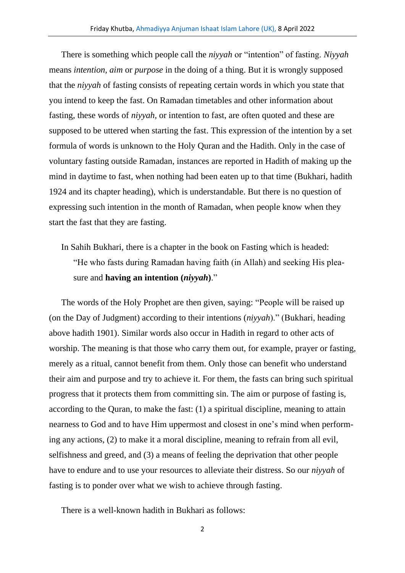There is something which people call the *niyyah* or "intention" of fasting. *Niyyah*  means *intention, aim* or *purpose* in the doing of a thing. But it is wrongly supposed that the *niyyah* of fasting consists of repeating certain words in which you state that you intend to keep the fast. On Ramadan timetables and other information about fasting, these words of *niyyah,* or intention to fast, are often quoted and these are supposed to be uttered when starting the fast. This expression of the intention by a set formula of words is unknown to the Holy Quran and the Hadith. Only in the case of voluntary fasting outside Ramadan, instances are reported in Hadith of making up the mind in daytime to fast, when nothing had been eaten up to that time (Bukhari, hadith 1924 and its chapter heading), which is understandable. But there is no question of expressing such intention in the month of Ramadan, when people know when they start the fast that they are fasting.

In Sahih Bukhari, there is a chapter in the book on Fasting which is headed: "He who fasts during Ramadan having faith (in Allah) and seeking His pleasure and **having an intention (***niyyah***)**."

The words of the Holy Prophet are then given, saying: "People will be raised up (on the Day of Judgment) according to their intentions (*niyyah*)." (Bukhari, heading above hadith 1901). Similar words also occur in Hadith in regard to other acts of worship. The meaning is that those who carry them out, for example, prayer or fasting, merely as a ritual, cannot benefit from them. Only those can benefit who understand their aim and purpose and try to achieve it. For them, the fasts can bring such spiritual progress that it protects them from committing sin. The aim or purpose of fasting is, according to the Quran, to make the fast: (1) a spiritual discipline, meaning to attain nearness to God and to have Him uppermost and closest in one's mind when performing any actions, (2) to make it a moral discipline, meaning to refrain from all evil, selfishness and greed, and (3) a means of feeling the deprivation that other people have to endure and to use your resources to alleviate their distress. So our *niyyah* of fasting is to ponder over what we wish to achieve through fasting.

There is a well-known hadith in Bukhari as follows:

2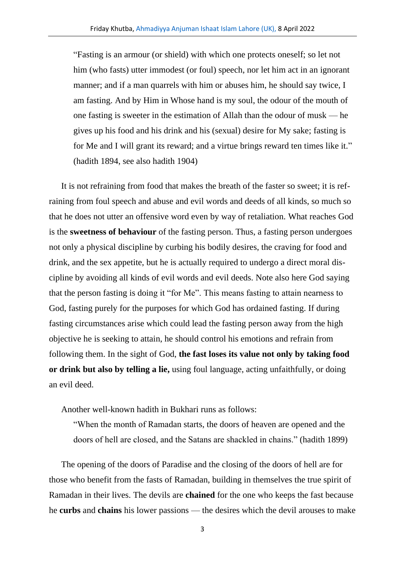"Fasting is an armour (or shield) with which one protects oneself; so let not him (who fasts) utter immodest (or foul) speech, nor let him act in an ignorant manner; and if a man quarrels with him or abuses him, he should say twice, I am fasting. And by Him in Whose hand is my soul, the odour of the mouth of one fasting is sweeter in the estimation of Allah than the odour of musk — he gives up his food and his drink and his (sexual) desire for My sake; fasting is for Me and I will grant its reward; and a virtue brings reward ten times like it." (hadith 1894, see also hadith 1904)

It is not refraining from food that makes the breath of the faster so sweet; it is refraining from foul speech and abuse and evil words and deeds of all kinds, so much so that he does not utter an offensive word even by way of retaliation. What reaches God is the **sweetness of behaviour** of the fasting person. Thus, a fasting person undergoes not only a physical discipline by curbing his bodily desires, the craving for food and drink, and the sex appetite, but he is actually required to undergo a direct moral discipline by avoiding all kinds of evil words and evil deeds. Note also here God saying that the person fasting is doing it "for Me". This means fasting to attain nearness to God, fasting purely for the purposes for which God has ordained fasting. If during fasting circumstances arise which could lead the fasting person away from the high objective he is seeking to attain, he should control his emotions and refrain from following them. In the sight of God, **the fast loses its value not only by taking food or drink but also by telling a lie,** using foul language, acting unfaithfully, or doing an evil deed.

Another well-known hadith in Bukhari runs as follows:

"When the month of Ramadan starts, the doors of heaven are opened and the doors of hell are closed, and the Satans are shackled in chains." (hadith 1899)

The opening of the doors of Paradise and the closing of the doors of hell are for those who benefit from the fasts of Ramadan, building in themselves the true spirit of Ramadan in their lives. The devils are **chained** for the one who keeps the fast because he **curbs** and **chains** his lower passions — the desires which the devil arouses to make

3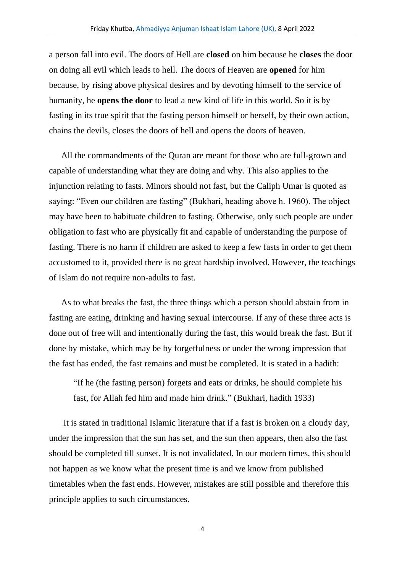a person fall into evil. The doors of Hell are **closed** on him because he **closes** the door on doing all evil which leads to hell. The doors of Heaven are **opened** for him because, by rising above physical desires and by devoting himself to the service of humanity, he **opens the door** to lead a new kind of life in this world. So it is by fasting in its true spirit that the fasting person himself or herself, by their own action, chains the devils, closes the doors of hell and opens the doors of heaven.

All the commandments of the Quran are meant for those who are full-grown and capable of understanding what they are doing and why. This also applies to the injunction relating to fasts. Minors should not fast, but the Caliph Umar is quoted as saying: "Even our children are fasting" (Bukhari, heading above h. 1960). The object may have been to habituate children to fasting. Otherwise, only such people are under obligation to fast who are physically fit and capable of understanding the purpose of fasting. There is no harm if children are asked to keep a few fasts in order to get them accustomed to it, provided there is no great hardship involved. However, the teachings of Islam do not require non-adults to fast.

As to what breaks the fast, the three things which a person should abstain from in fasting are eating, drinking and having sexual intercourse. If any of these three acts is done out of free will and intentionally during the fast, this would break the fast. But if done by mistake, which may be by forgetfulness or under the wrong impression that the fast has ended, the fast remains and must be completed. It is stated in a hadith:

"If he (the fasting person) forgets and eats or drinks, he should complete his fast, for Allah fed him and made him drink." (Bukhari, hadith 1933)

It is stated in traditional Islamic literature that if a fast is broken on a cloudy day, under the impression that the sun has set, and the sun then appears, then also the fast should be completed till sunset. It is not invalidated. In our modern times, this should not happen as we know what the present time is and we know from published timetables when the fast ends. However, mistakes are still possible and therefore this principle applies to such circumstances.